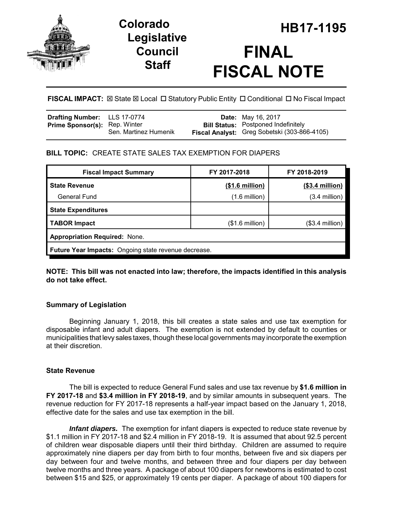

# **Legislative Council Staff**

# **HB17-1195 Colorado FINAL FISCAL NOTE**

**FISCAL IMPACT:**  $\boxtimes$  **State**  $\boxtimes$  **Local □ Statutory Public Entity □ Conditional □ No Fiscal Impact** 

| Drafting Number: LLS 17-0774         |                       | <b>Date:</b> May 16, 2017                    |
|--------------------------------------|-----------------------|----------------------------------------------|
| <b>Prime Sponsor(s):</b> Rep. Winter |                       | <b>Bill Status:</b> Postponed Indefinitely   |
|                                      | Sen. Martinez Humenik | Fiscal Analyst: Greg Sobetski (303-866-4105) |

# **BILL TOPIC:** CREATE STATE SALES TAX EXEMPTION FOR DIAPERS

| <b>Fiscal Impact Summary</b>                                | FY 2017-2018             | FY 2018-2019     |  |  |  |
|-------------------------------------------------------------|--------------------------|------------------|--|--|--|
| <b>State Revenue</b>                                        | (\$1.6 million)          | $($3.4$ million) |  |  |  |
| <b>General Fund</b>                                         | $(1.6 \text{ million})$  | $(3.4$ million)  |  |  |  |
| <b>State Expenditures</b>                                   |                          |                  |  |  |  |
| <b>TABOR Impact</b>                                         | $($1.6 \text{ million})$ | $($3.4$ million) |  |  |  |
| <b>Appropriation Required: None.</b>                        |                          |                  |  |  |  |
| <b>Future Year Impacts:</b> Ongoing state revenue decrease. |                          |                  |  |  |  |

**NOTE: This bill was not enacted into law; therefore, the impacts identified in this analysis do not take effect.**

# **Summary of Legislation**

Beginning January 1, 2018, this bill creates a state sales and use tax exemption for disposable infant and adult diapers. The exemption is not extended by default to counties or municipalities that levy sales taxes, though these local governments may incorporate the exemption at their discretion.

# **State Revenue**

The bill is expected to reduce General Fund sales and use tax revenue by **\$1.6 million in FY 2017-18** and **\$3.4 million in FY 2018-19**, and by similar amounts in subsequent years. The revenue reduction for FY 2017-18 represents a half-year impact based on the January 1, 2018, effective date for the sales and use tax exemption in the bill.

*Infant diapers.* The exemption for infant diapers is expected to reduce state revenue by \$1.1 million in FY 2017-18 and \$2.4 million in FY 2018-19. It is assumed that about 92.5 percent of children wear disposable diapers until their third birthday. Children are assumed to require approximately nine diapers per day from birth to four months, between five and six diapers per day between four and twelve months, and between three and four diapers per day between twelve months and three years. A package of about 100 diapers for newborns is estimated to cost between \$15 and \$25, or approximately 19 cents per diaper. A package of about 100 diapers for